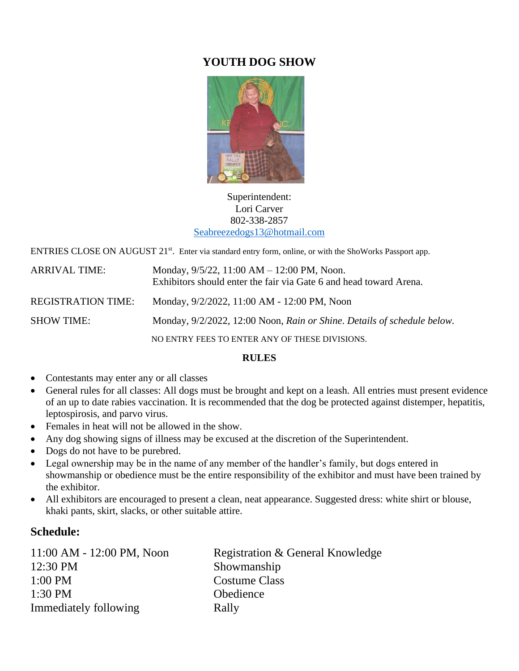# **YOUTH DOG SHOW**



## Superintendent: Lori Carver 802-338-2857 [Seabreezedogs13@hotmail.com](mailto:Seabreezedogs13@hotmail.com)

ENTRIES CLOSE ON AUGUST 21<sup>st</sup>. Enter via standard entry form, online, or with the ShoWorks Passport app.

| <b>ARRIVAL TIME:</b>      | Monday, $9/5/22$ , 11:00 AM $-$ 12:00 PM, Noon.<br>Exhibitors should enter the fair via Gate 6 and head toward Arena. |
|---------------------------|-----------------------------------------------------------------------------------------------------------------------|
| <b>REGISTRATION TIME:</b> | Monday, 9/2/2022, 11:00 AM - 12:00 PM, Noon                                                                           |
| <b>SHOW TIME:</b>         | Monday, 9/2/2022, 12:00 Noon, Rain or Shine. Details of schedule below.                                               |
|                           | NO ENTRY FEES TO ENTER ANY OF THESE DIVISIONS.                                                                        |

# **RULES**

- Contestants may enter any or all classes
- General rules for all classes: All dogs must be brought and kept on a leash. All entries must present evidence of an up to date rabies vaccination. It is recommended that the dog be protected against distemper, hepatitis, leptospirosis, and parvo virus.
- Females in heat will not be allowed in the show.
- Any dog showing signs of illness may be excused at the discretion of the Superintendent.
- Dogs do not have to be purebred.
- Legal ownership may be in the name of any member of the handler's family, but dogs entered in showmanship or obedience must be the entire responsibility of the exhibitor and must have been trained by the exhibitor.
- All exhibitors are encouraged to present a clean, neat appearance. Suggested dress: white shirt or blouse, khaki pants, skirt, slacks, or other suitable attire.

# **Schedule:**

| 11:00 AM - 12:00 PM, Noon | Registration & General Knowledge |
|---------------------------|----------------------------------|
| 12:30 PM                  | Showmanship                      |
| $1:00$ PM                 | <b>Costume Class</b>             |
| $1:30$ PM                 | Obedience                        |
| Immediately following     | Rally                            |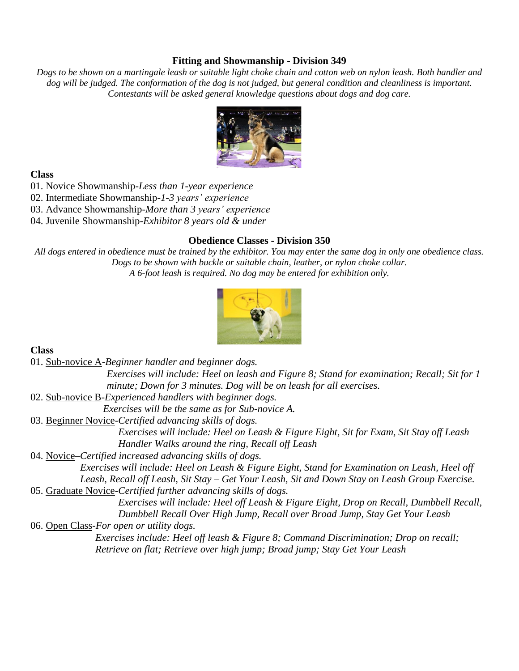## **Fitting and Showmanship - Division 349**

*Dogs to be shown on a martingale leash or suitable light choke chain and cotton web on nylon leash. Both handler and*  dog will be judged. The conformation of the dog is not judged, but general condition and cleanliness is important. *Contestants will be asked general knowledge questions about dogs and dog care.*



#### **Class**

01. Novice Showmanship-*Less than 1-year experience*

02. Intermediate Showmanship-*1-3 years' experience*

03. Advance Showmanship-*More than 3 years' experience*

04. Juvenile Showmanship-*Exhibitor 8 years old & under*

# **Obedience Classes - Division 350**

*All dogs entered in obedience must be trained by the exhibitor. You may enter the same dog in only one obedience class. Dogs to be shown with buckle or suitable chain, leather, or nylon choke collar. A 6-foot leash is required. No dog may be entered for exhibition only.*



# **Class**

01. Sub-novice A-*Beginner handler and beginner dogs.*

*Exercises will include: Heel on leash and Figure 8; Stand for examination; Recall; Sit for 1 minute; Down for 3 minutes. Dog will be on leash for all exercises.*

02. Sub-novice B-*Experienced handlers with beginner dogs.*

*Exercises will be the same as for Sub-novice A.*

03. Beginner Novice-*Certified advancing skills of dogs.* 

*Exercises will include: Heel on Leash & Figure Eight, Sit for Exam, Sit Stay off Leash Handler Walks around the ring, Recall off Leash*

04. Novice–*Certified increased advancing skills of dogs.* 

*Exercises will include: Heel on Leash & Figure Eight, Stand for Examination on Leash, Heel off Leash, Recall off Leash, Sit Stay – Get Your Leash, Sit and Down Stay on Leash Group Exercise.* 05. Graduate Novice-*Certified further advancing skills of dogs.* 

> *Exercises will include: Heel off Leash & Figure Eight, Drop on Recall, Dumbbell Recall, Dumbbell Recall Over High Jump, Recall over Broad Jump, Stay Get Your Leash*

06. Open Class-*For open or utility dogs.*

*Exercises include: Heel off leash & Figure 8; Command Discrimination; Drop on recall; Retrieve on flat; Retrieve over high jump; Broad jump; Stay Get Your Leash*